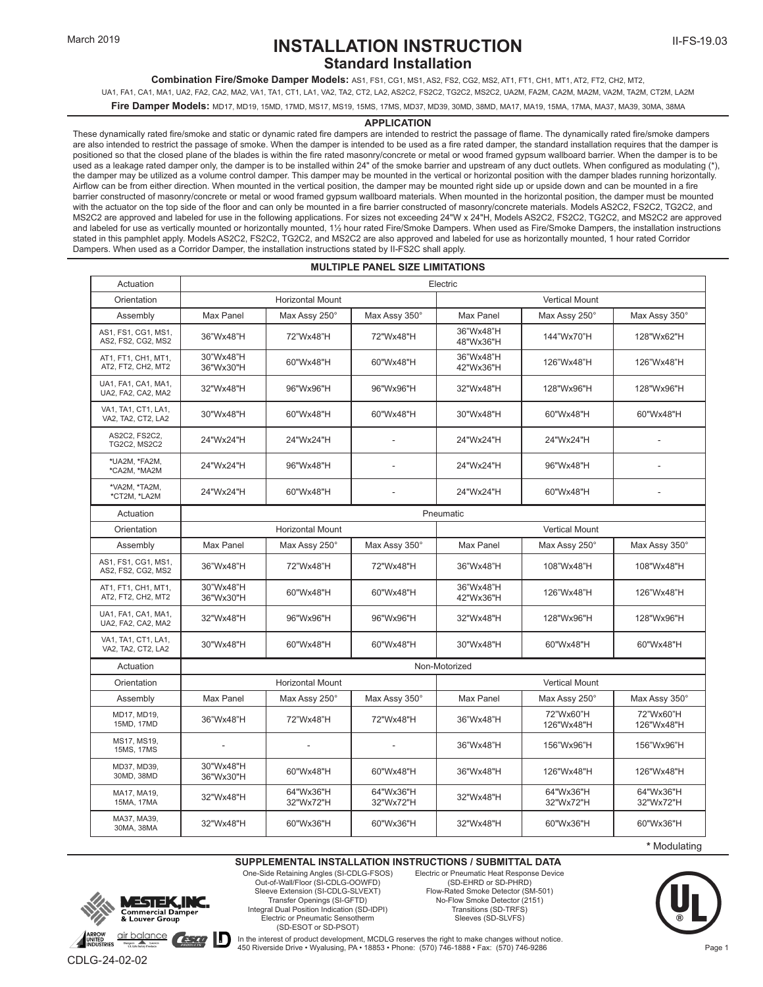### **INSTALLATION INSTRUCTION Standard Installation**

**Combination Fire/Smoke Damper Models:** AS1, FS1, CG1, MS1, AS2, FS2, CG2, MS2, AT1, FT1, CH1, MT1, AT2, FT2, CH2, MT2,

UA1, FA1, CA1, MA1, UA2, FA2, CA2, MA2, VA1, TA1, CT1, LA1, VA2, TA2, CT2, LA2, AS2C2, FS2C2, TG2C2, MS2C2, UA2M, FA2M, CA2M, MA2M, VA2M, TA2M, CT2M, LA2M

**Fire Damper Models:** MD17, MD19, 15MD, 17MD, MS17, MS19, 15MS, 17MS, MD37, MD39, 30MD, 38MD, MA17, MA19, 15MA, 17MA, MA37, MA39, 30MA, 38MA

#### **APPLICATION**

These dynamically rated fire/smoke and static or dynamic rated fire dampers are intended to restrict the passage of flame. The dynamically rated fire/smoke dampers are also intended to restrict the passage of smoke. When the damper is intended to be used as a fire rated damper, the standard installation requires that the damper is positioned so that the closed plane of the blades is within the fire rated masonry/concrete or metal or wood framed gypsum wallboard barrier. When the damper is to be used as a leakage rated damper only, the damper is to be installed within 24" of the smoke barrier and upstream of any duct outlets. When configured as modulating (\*), the damper may be utilized as a volume control damper. This damper may be mounted in the vertical or horizontal position with the damper blades running horizontally. Airflow can be from either direction. When mounted in the vertical position, the damper may be mounted right side up or upside down and can be mounted in a fire barrier constructed of masonry/concrete or metal or wood framed gypsum wallboard materials. When mounted in the horizontal position, the damper must be mounted with the actuator on the top side of the floor and can only be mounted in a fire barrier constructed of masonry/concrete materials. Models AS2C2, FS2C2, TG2C2, and MS2C2 are approved and labeled for use in the following applications. For sizes not exceeding 24"W x 24"H, Models AS2C2, FS2C2, TG2C2, and MS2C2 are approved and labeled for use as vertically mounted or horizontally mounted, 1½ hour rated Fire/Smoke Dampers. When used as Fire/Smoke Dampers, the installation instructions stated in this pamphlet apply. Models AS2C2, FS2C2, TG2C2, and MS2C2 are also approved and labeled for use as horizontally mounted, 1 hour rated Corridor Dampers. When used as a Corridor Damper, the installation instructions stated by II-FS2C shall apply.

| <b>MULTIPLE PANEL SIZE LIMITATIONS</b>    |                         |                        |                          |                        |                         |                         |
|-------------------------------------------|-------------------------|------------------------|--------------------------|------------------------|-------------------------|-------------------------|
| Actuation                                 | Electric                |                        |                          |                        |                         |                         |
| Orientation                               | <b>Horizontal Mount</b> |                        |                          | <b>Vertical Mount</b>  |                         |                         |
| Assembly                                  | Max Panel               | Max Assy 250°          | Max Assy 350°            | Max Panel              | Max Assy 250°           | Max Assy 350°           |
| AS1, FS1, CG1, MS1,<br>AS2, FS2, CG2, MS2 | 36"Wx48"H               | 72"Wx48"H              | 72"Wx48"H                | 36"Wx48"H<br>48"Wx36"H | 144"Wx70"H              | 128"Wx62"H              |
| AT1, FT1, CH1, MT1,<br>AT2, FT2, CH2, MT2 | 30"Wx48"H<br>36"Wx30"H  | 60"Wx48"H              | 60"Wx48"H                | 36"Wx48"H<br>42"Wx36"H | 126"Wx48"H              | 126"Wx48"H              |
| UA1, FA1, CA1, MA1,<br>UA2, FA2, CA2, MA2 | 32"Wx48"H               | 96"Wx96"H              | 96"Wx96"H                | 32"Wx48"H              | 128"Wx96"H              | 128"Wx96"H              |
| VA1, TA1, CT1, LA1,<br>VA2, TA2, CT2, LA2 | 30"Wx48"H               | 60"Wx48"H              | 60"Wx48"H                | 30"Wx48"H              | 60"Wx48"H               | 60"Wx48"H               |
| AS2C2, FS2C2,<br>TG2C2, MS2C2             | 24"Wx24"H               | 24"Wx24"H              |                          | 24"Wx24"H              | 24"Wx24"H               | ÷,                      |
| *UA2M, *FA2M,<br>*CA2M, *MA2M             | 24"Wx24"H               | 96"Wx48"H              | $\overline{\phantom{a}}$ | 24"Wx24"H              | 96"Wx48"H               | L,                      |
| *VA2M, *TA2M,<br>*CT2M, *LA2M             | 24"Wx24"H               | 60"Wx48"H              |                          | 24"Wx24"H              | 60"Wx48"H               | $\overline{a}$          |
| Actuation                                 | Pneumatic               |                        |                          |                        |                         |                         |
| Orientation                               | <b>Horizontal Mount</b> |                        |                          | <b>Vertical Mount</b>  |                         |                         |
| Assembly                                  | Max Panel               | Max Assy 250°          | Max Assy 350°            | Max Panel              | Max Assy 250°           | Max Assy 350°           |
| AS1, FS1, CG1, MS1,<br>AS2, FS2, CG2, MS2 | 36"Wx48"H               | 72"Wx48"H              | 72"Wx48"H                | 36"Wx48"H              | 108"Wx48"H              | 108"Wx48"H              |
| AT1, FT1, CH1, MT1,<br>AT2, FT2, CH2, MT2 | 30"Wx48"H<br>36"Wx30"H  | 60"Wx48"H              | 60"Wx48"H                | 36"Wx48"H<br>42"Wx36"H | 126"Wx48"H              | 126"Wx48"H              |
| UA1, FA1, CA1, MA1,<br>UA2, FA2, CA2, MA2 | 32"Wx48"H               | 96"Wx96"H              | 96"Wx96"H                | 32"Wx48"H              | 128"Wx96"H              | 128"Wx96"H              |
| VA1, TA1, CT1, LA1,<br>VA2, TA2, CT2, LA2 | 30"Wx48"H               | 60"Wx48"H              | 60"Wx48"H                | 30"Wx48"H              | 60"Wx48"H               | 60"Wx48"H               |
| Actuation                                 | Non-Motorized           |                        |                          |                        |                         |                         |
| Orientation                               | <b>Horizontal Mount</b> |                        |                          | <b>Vertical Mount</b>  |                         |                         |
| Assembly                                  | Max Panel               | Max Assy 250°          | Max Assy 350°            | Max Panel              | Max Assy 250°           | Max Assy 350°           |
| MD17, MD19,<br>15MD, 17MD                 | 36"Wx48"H               | 72"Wx48"H              | 72"Wx48"H                | 36"Wx48"H              | 72"Wx60"H<br>126"Wx48"H | 72"Wx60"H<br>126"Wx48"H |
| MS17, MS19,<br>15MS, 17MS                 | $\overline{a}$          | ä,                     |                          | 36"Wx48"H              | 156"Wx96"H              | 156"Wx96"H              |
| MD37, MD39,<br>30MD, 38MD                 | 30"Wx48"H<br>36"Wx30"H  | 60"Wx48"H              | 60"Wx48"H                | 36"Wx48"H              | 126"Wx48"H              | 126"Wx48"H              |
| MA17, MA19,<br>15MA, 17MA                 | 32"Wx48"H               | 64"Wx36"H<br>32"Wx72"H | 64"Wx36"H<br>32"Wx72"H   | 32"Wx48"H              | 64"Wx36"H<br>32"Wx72"H  | 64"Wx36"H<br>32"Wx72"H  |
| MA37, MA39,<br>30MA, 38MA                 | 32"Wx48"H               | 60"Wx36"H              | 60"Wx36"H                | 32"Wx48"H              | 60"Wx36"H               | 60"Wx36"H               |

**\*** Modulating

#### **SUPPLEMENTAL INSTALLATION INSTRUCTIONS / SUBMITTAL DATA**



One-Side Retaining Angles (SI-CDLG-FSOS) Out-of-Wall/Floor (SI-CDLG-OOWFD) Sleeve Extension (SI-CDLG-SLVEXT) Transfer Openings (SI-GFTD) Integral Dual Position Indication (SD-IDPI) Electric or Pneumatic Sensotherm (SD-ESOT or SD-PSOT)

Electric or Pneumatic Heat Response Device (SD-EHRD or SD-PHRD) Flow-Rated Smoke Detector (SM-501) No-Flow Smoke Detector (2151) Transitions (SD-TRFS) Sleeves (SD-SLVFS)



In the interest of product development, MCDLG reserves the right to make changes without notice. 450 Riverside Drive • Wyalusing, PA • 18853 • Phone: (570) 746-1888 • Fax: (570) 746-9286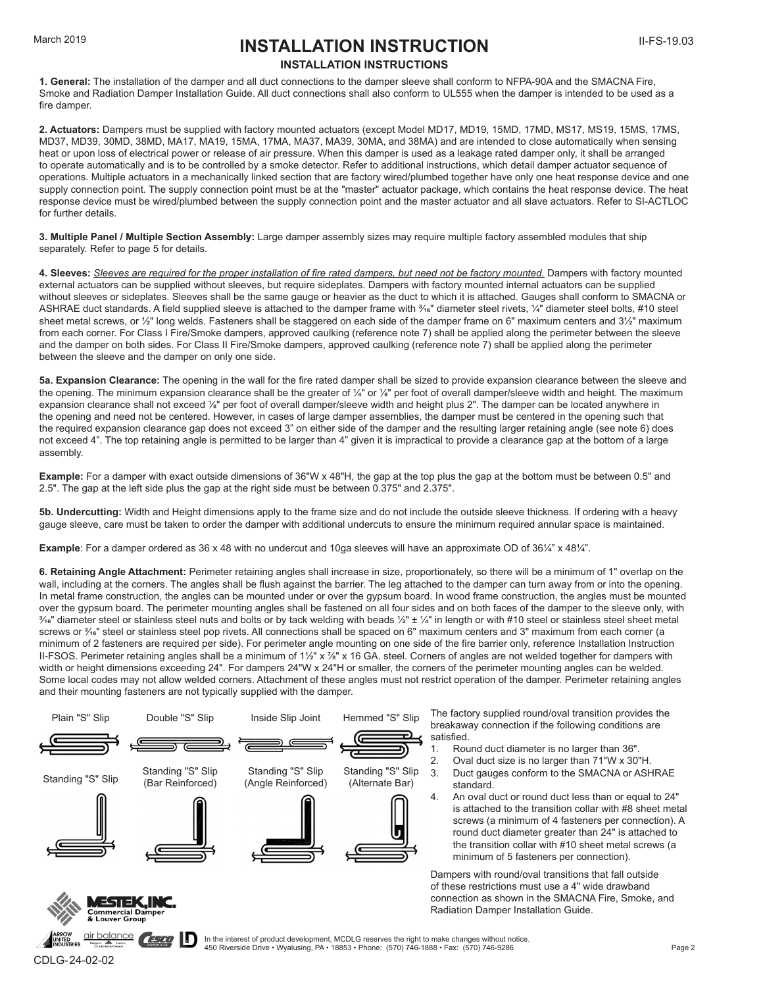### March 2019 **INSTALLATION INSTRUCTION INSTALLATION INSTRUCTIONS**

**1. General:** The installation of the damper and all duct connections to the damper sleeve shall conform to NFPA-90A and the SMACNA Fire, Smoke and Radiation Damper Installation Guide. All duct connections shall also conform to UL555 when the damper is intended to be used as a fire damper.

**2. Actuators:** Dampers must be supplied with factory mounted actuators (except Model MD17, MD19, 15MD, 17MD, MS17, MS19, 15MS, 17MS, MD37, MD39, 30MD, 38MD, MA17, MA19, 15MA, 17MA, MA37, MA39, 30MA, and 38MA) and are intended to close automatically when sensing heat or upon loss of electrical power or release of air pressure. When this damper is used as a leakage rated damper only, it shall be arranged to operate automatically and is to be controlled by a smoke detector. Refer to additional instructions, which detail damper actuator sequence of operations. Multiple actuators in a mechanically linked section that are factory wired/plumbed together have only one heat response device and one supply connection point. The supply connection point must be at the "master" actuator package, which contains the heat response device. The heat response device must be wired/plumbed between the supply connection point and the master actuator and all slave actuators. Refer to SI-ACTLOC for further details.

**3. Multiple Panel / Multiple Section Assembly:** Large damper assembly sizes may require multiple factory assembled modules that ship separately. Refer to page 5 for details.

**4. Sleeves:** *Sleeves are required for the proper installation of fire rated dampers, but need not be factory mounted.* Dampers with factory mounted external actuators can be supplied without sleeves, but require sideplates. Dampers with factory mounted internal actuators can be supplied without sleeves or sideplates. Sleeves shall be the same gauge or heavier as the duct to which it is attached. Gauges shall conform to SMACNA or ASHRAE duct standards. A field supplied sleeve is attached to the damper frame with  $\frac{3}{4}$ " diameter steel rivets,  $\frac{1}{4}$ " diameter steel bolts, #10 steel sheet metal screws, or 1/2" long welds. Fasteners shall be staggered on each side of the damper frame on 6" maximum centers and 31/2" maximum from each corner. For Class I Fire/Smoke dampers, approved caulking (reference note 7) shall be applied along the perimeter between the sleeve and the damper on both sides. For Class II Fire/Smoke dampers, approved caulking (reference note 7) shall be applied along the perimeter between the sleeve and the damper on only one side.

**5a. Expansion Clearance:** The opening in the wall for the fire rated damper shall be sized to provide expansion clearance between the sleeve and the opening. The minimum expansion clearance shall be the greater of ¼" or ¼" per foot of overall damper/sleeve width and height. The maximum expansion clearance shall not exceed ⅛" per foot of overall damper/sleeve width and height plus 2". The damper can be located anywhere in the opening and need not be centered. However, in cases of large damper assemblies, the damper must be centered in the opening such that the required expansion clearance gap does not exceed 3" on either side of the damper and the resulting larger retaining angle (see note 6) does not exceed 4". The top retaining angle is permitted to be larger than 4" given it is impractical to provide a clearance gap at the bottom of a large assembly.

**Example:** For a damper with exact outside dimensions of 36"W x 48"H, the gap at the top plus the gap at the bottom must be between 0.5" and 2.5". The gap at the left side plus the gap at the right side must be between 0.375" and 2.375".

**5b. Undercutting:** Width and Height dimensions apply to the frame size and do not include the outside sleeve thickness. If ordering with a heavy gauge sleeve, care must be taken to order the damper with additional undercuts to ensure the minimum required annular space is maintained.

**Example**: For a damper ordered as 36 x 48 with no undercut and 10ga sleeves will have an approximate OD of 361/4" x 481/4".

**6. Retaining Angle Attachment:** Perimeter retaining angles shall increase in size, proportionately, so there will be a minimum of 1" overlap on the wall, including at the corners. The angles shall be flush against the barrier. The leg attached to the damper can turn away from or into the opening. In metal frame construction, the angles can be mounted under or over the gypsum board. In wood frame construction, the angles must be mounted over the gypsum board. The perimeter mounting angles shall be fastened on all four sides and on both faces of the damper to the sleeve only, with  $\frac{3}{16}$ " diameter steel or stainless steel nuts and bolts or by tack welding with beads  $\frac{1}{2}$ "  $\pm$  1/4" in length or with #10 steel or stainless steel sheet metal screws or  $\frac{3}{16}$ " steel or stainless steel pop rivets. All connections shall be spaced on 6" maximum centers and 3" maximum from each corner (a minimum of 2 fasteners are required per side). For perimeter angle mounting on one side of the fire barrier only, reference Installation Instruction II-FSOS. Perimeter retaining angles shall be a minimum of 11/2" x 7/8" x 16 GA. steel. Corners of angles are not welded together for dampers with width or height dimensions exceeding 24". For dampers 24"W x 24"H or smaller, the corners of the perimeter mounting angles can be welded. Some local codes may not allow welded corners. Attachment of these angles must not restrict operation of the damper. Perimeter retaining angles and their mounting fasteners are not typically supplied with the damper.



ШD



In the interest of product development, MCDLG reserves the right to make changes without notice. 450 Riverside Drive • Wyalusing, PA • 18853 • Phone: (570) 746-1888 • Fax: (570) 746-9286

Radiation Damper Installation Guide.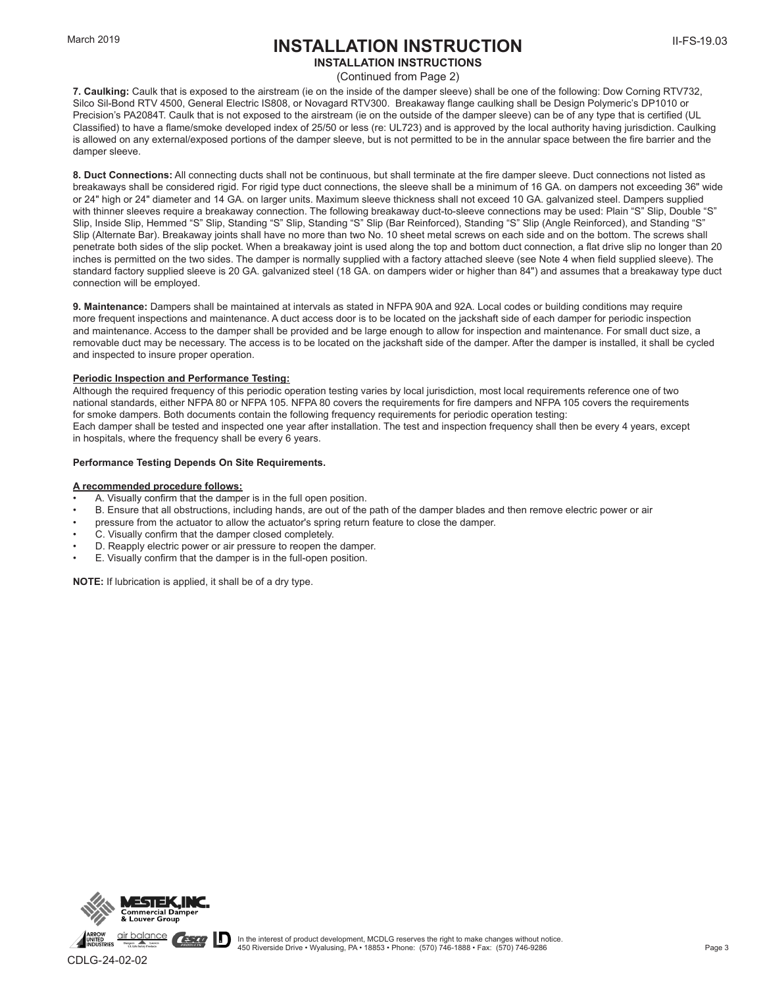### **INSTALLATION INSTRUCTION**

#### **INSTALLATION INSTRUCTIONS**

(Continued from Page 2)

**7. Caulking:** Caulk that is exposed to the airstream (ie on the inside of the damper sleeve) shall be one of the following: Dow Corning RTV732, Silco Sil-Bond RTV 4500, General Electric IS808, or Novagard RTV300. Breakaway flange caulking shall be Design Polymeric's DP1010 or Precision's PA2084T. Caulk that is not exposed to the airstream (ie on the outside of the damper sleeve) can be of any type that is certified (UL Classified) to have a flame/smoke developed index of 25/50 or less (re: UL723) and is approved by the local authority having jurisdiction. Caulking is allowed on any external/exposed portions of the damper sleeve, but is not permitted to be in the annular space between the fire barrier and the damper sleeve.

**8. Duct Connections:** All connecting ducts shall not be continuous, but shall terminate at the fire damper sleeve. Duct connections not listed as breakaways shall be considered rigid. For rigid type duct connections, the sleeve shall be a minimum of 16 GA. on dampers not exceeding 36" wide or 24" high or 24" diameter and 14 GA. on larger units. Maximum sleeve thickness shall not exceed 10 GA. galvanized steel. Dampers supplied with thinner sleeves require a breakaway connection. The following breakaway duct-to-sleeve connections may be used: Plain "S" Slip, Double "S" Slip, Inside Slip, Hemmed "S" Slip, Standing "S" Slip, Standing "S" Slip (Bar Reinforced), Standing "S" Slip (Angle Reinforced), and Standing "S" Slip (Alternate Bar). Breakaway joints shall have no more than two No. 10 sheet metal screws on each side and on the bottom. The screws shall penetrate both sides of the slip pocket. When a breakaway joint is used along the top and bottom duct connection, a flat drive slip no longer than 20 inches is permitted on the two sides. The damper is normally supplied with a factory attached sleeve (see Note 4 when field supplied sleeve). The standard factory supplied sleeve is 20 GA. galvanized steel (18 GA. on dampers wider or higher than 84") and assumes that a breakaway type duct connection will be employed.

**9. Maintenance:** Dampers shall be maintained at intervals as stated in NFPA 90A and 92A. Local codes or building conditions may require more frequent inspections and maintenance. A duct access door is to be located on the jackshaft side of each damper for periodic inspection and maintenance. Access to the damper shall be provided and be large enough to allow for inspection and maintenance. For small duct size, a removable duct may be necessary. The access is to be located on the jackshaft side of the damper. After the damper is installed, it shall be cycled and inspected to insure proper operation.

#### **Periodic Inspection and Performance Testing:**

Although the required frequency of this periodic operation testing varies by local jurisdiction, most local requirements reference one of two national standards, either NFPA 80 or NFPA 105. NFPA 80 covers the requirements for fire dampers and NFPA 105 covers the requirements for smoke dampers. Both documents contain the following frequency requirements for periodic operation testing: Each damper shall be tested and inspected one year after installation. The test and inspection frequency shall then be every 4 years, except in hospitals, where the frequency shall be every 6 years.

#### **Performance Testing Depends On Site Requirements.**

#### **A recommended procedure follows:**

- A. Visually confirm that the damper is in the full open position.
- B. Ensure that all obstructions, including hands, are out of the path of the damper blades and then remove electric power or air
- pressure from the actuator to allow the actuator's spring return feature to close the damper.
- C. Visually confirm that the damper closed completely.
- D. Reapply electric power or air pressure to reopen the damper.
- E. Visually confirm that the damper is in the full-open position.

**NOTE:** If lubrication is applied, it shall be of a dry type.

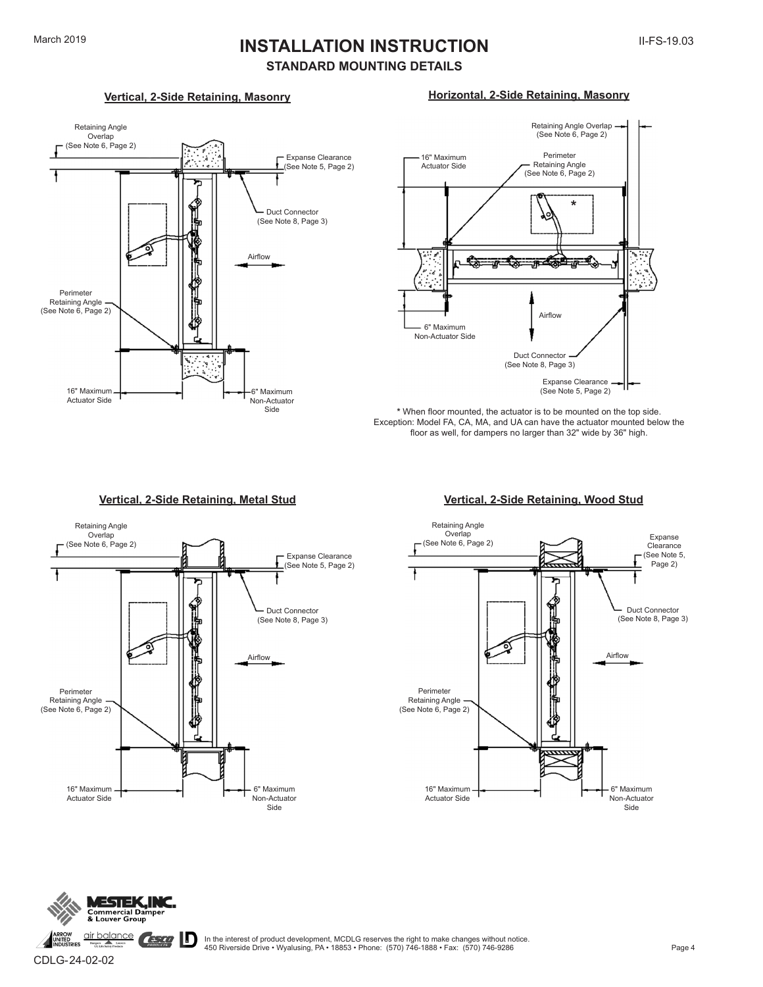# March 2019 **INSTALLATION INSTRUCTION**

### **STANDARD MOUNTING DETAILS**

#### **Vertical, 2-Side Retaining, Masonry**



### **Horizontal, 2-Side Retaining, Masonry**



**\*** When floor mounted, the actuator is to be mounted on the top side. Exception: Model FA, CA, MA, and UA can have the actuator mounted below the floor as well, for dampers no larger than 32" wide by 36" high.

#### **Vertical, 2-Side Retaining, Metal Stud Vertical, 2-Side Retaining, Wood Stud**







CDLG-24-02-02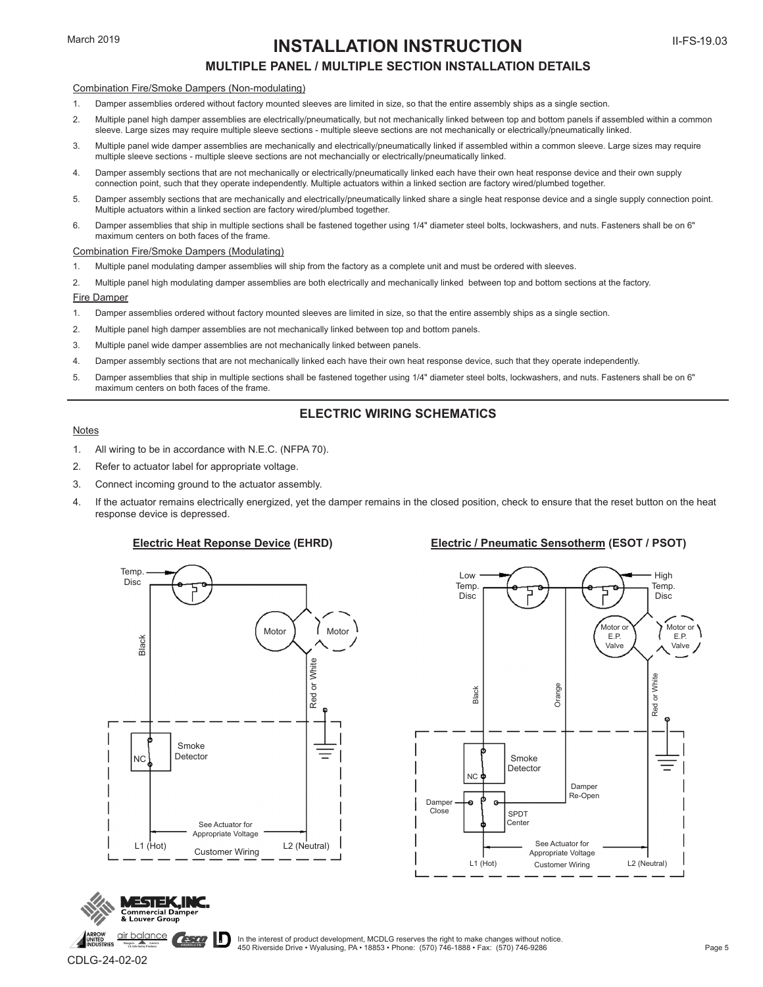### **INSTALLATION INSTRUCTION**

### **MULTIPLE PANEL / MULTIPLE SECTION INSTALLATION DETAILS**

#### Combination Fire/Smoke Dampers (Non-modulating)

- 1. Damper assemblies ordered without factory mounted sleeves are limited in size, so that the entire assembly ships as a single section.
- 2. Multiple panel high damper assemblies are electrically/pneumatically, but not mechanically linked between top and bottom panels if assembled within a common sleeve. Large sizes may require multiple sleeve sections - multiple sleeve sections are not mechanically or electrically/pneumatically linked.
- 3. Multiple panel wide damper assemblies are mechanically and electrically/pneumatically linked if assembled within a common sleeve. Large sizes may require multiple sleeve sections - multiple sleeve sections are not mechancially or electrically/pneumatically linked.
- 4. Damper assembly sections that are not mechanically or electrically/pneumatically linked each have their own heat response device and their own supply connection point, such that they operate independently. Multiple actuators within a linked section are factory wired/plumbed together.
- 5. Damper assembly sections that are mechanically and electrically/pneumatically linked share a single heat response device and a single supply connection point. Multiple actuators within a linked section are factory wired/plumbed together.
- 6. Damper assemblies that ship in multiple sections shall be fastened together using 1/4" diameter steel bolts, lockwashers, and nuts. Fasteners shall be on 6" maximum centers on both faces of the frame.

#### Combination Fire/Smoke Dampers (Modulating)

- 1. Multiple panel modulating damper assemblies will ship from the factory as a complete unit and must be ordered with sleeves.
- 2. Multiple panel high modulating damper assemblies are both electrically and mechanically linked between top and bottom sections at the factory.

#### Fire Damper

- 1. Damper assemblies ordered without factory mounted sleeves are limited in size, so that the entire assembly ships as a single section.
- 2. Multiple panel high damper assemblies are not mechanically linked between top and bottom panels.
- 3. Multiple panel wide damper assemblies are not mechanically linked between panels.
- 4. Damper assembly sections that are not mechanically linked each have their own heat response device, such that they operate independently.
- 5. Damper assemblies that ship in multiple sections shall be fastened together using 1/4" diameter steel bolts, lockwashers, and nuts. Fasteners shall be on 6" maximum centers on both faces of the frame.

#### **ELECTRIC WIRING SCHEMATICS**

#### Notes

- 1. All wiring to be in accordance with N.E.C. (NFPA 70).
- 2. Refer to actuator label for appropriate voltage.
- 3. Connect incoming ground to the actuator assembly.
- 4. If the actuator remains electrically energized, yet the damper remains in the closed position, check to ensure that the reset button on the heat response device is depressed.

#### **Electric Heat Reponse Device (EHRD) Electric / Pneumatic Sensotherm (ESOT / PSOT)**





In the interest of product development, MCDLG reserves the right to make changes without notice. 450 Riverside Drive • Wyalusing, PA • 18853 • Phone: (570) 746-1888 • Fax: (570) 746-9286

CDLG-24-02-02

**ESTEK, NC** Group

**CESTO** 

air balance

Page 5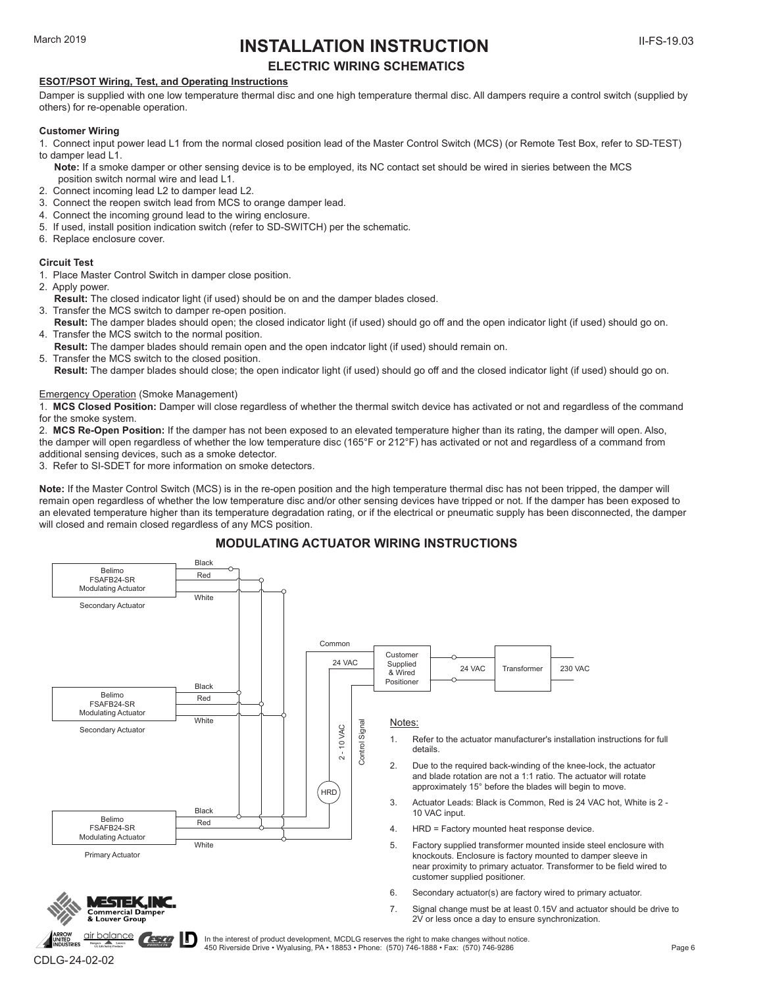# March 2019 **INSTALLATION INSTRUCTION**

Page 6

### **ELECTRIC WIRING SCHEMATICS**

#### **ESOT/PSOT Wiring, Test, and Operating Instructions**

Damper is supplied with one low temperature thermal disc and one high temperature thermal disc. All dampers require a control switch (supplied by others) for re-openable operation.

#### **Customer Wiring**

- 1. Connect input power lead L1 from the normal closed position lead of the Master Control Switch (MCS) (or Remote Test Box, refer to SD-TEST) to damper lead L1.
- **Note:** If a smoke damper or other sensing device is to be employed, its NC contact set should be wired in sieries between the MCS position switch normal wire and lead L1.
- 2. Connect incoming lead L2 to damper lead L2.
- 3. Connect the reopen switch lead from MCS to orange damper lead.
- 4. Connect the incoming ground lead to the wiring enclosure.
- 5. If used, install position indication switch (refer to SD-SWITCH) per the schematic.
- 6. Replace enclosure cover.

#### **Circuit Test**

- 1. Place Master Control Switch in damper close position.
- 2. Apply power.
- **Result:** The closed indicator light (if used) should be on and the damper blades closed.
- 3. Transfer the MCS switch to damper re-open position.
- **Result:** The damper blades should open; the closed indicator light (if used) should go off and the open indicator light (if used) should go on. 4. Transfer the MCS switch to the normal position.
- **Result:** The damper blades should remain open and the open indcator light (if used) should remain on.<br>5. Transfer the MCS switch to the closed position
- Transfer the MCS switch to the closed position.
- **Result:** The damper blades should close; the open indicator light (if used) should go off and the closed indicator light (if used) should go on.

#### Emergency Operation (Smoke Management)

- 1. **MCS Closed Position:** Damper will close regardless of whether the thermal switch device has activated or not and regardless of the command for the smoke system.
- 2. **MCS Re-Open Position:** If the damper has not been exposed to an elevated temperature higher than its rating, the damper will open. Also, the damper will open regardless of whether the low temperature disc (165°F or 212°F) has activated or not and regardless of a command from
- additional sensing devices, such as a smoke detector.
- 3. Refer to SI-SDET for more information on smoke detectors.

**Note:** If the Master Control Switch (MCS) is in the re-open position and the high temperature thermal disc has not been tripped, the damper will remain open regardless of whether the low temperature disc and/or other sensing devices have tripped or not. If the damper has been exposed to an elevated temperature higher than its temperature degradation rating, or if the electrical or pneumatic supply has been disconnected, the damper will closed and remain closed regardless of any MCS position.

#### **MODULATING ACTUATOR WIRING INSTRUCTIONS**